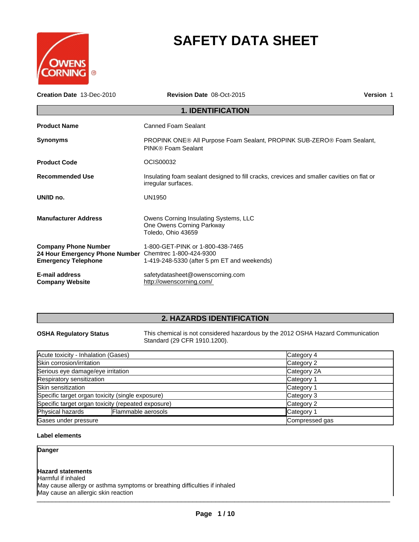

# **SAFETY DATA SHEET**

| Creation Date 13-Dec-2010                                                                                           | Revision Date 08-Oct-2015                                                                                        | <b>Version 1</b> |
|---------------------------------------------------------------------------------------------------------------------|------------------------------------------------------------------------------------------------------------------|------------------|
|                                                                                                                     | <b>1. IDENTIFICATION</b>                                                                                         |                  |
| <b>Product Name</b>                                                                                                 | <b>Canned Foam Sealant</b>                                                                                       |                  |
| <b>Synonyms</b>                                                                                                     | PROPINK ONE® All Purpose Foam Sealant, PROPINK SUB-ZERO® Foam Sealant,<br>PINK® Foam Sealant                     |                  |
| <b>Product Code</b>                                                                                                 | OCIS00032                                                                                                        |                  |
| <b>Recommended Use</b>                                                                                              | Insulating foam sealant designed to fill cracks, crevices and smaller cavities on flat or<br>irregular surfaces. |                  |
| UN/ID no.                                                                                                           | <b>UN1950</b>                                                                                                    |                  |
| <b>Manufacturer Address</b>                                                                                         | Owens Corning Insulating Systems, LLC<br>One Owens Corning Parkway<br>Toledo, Ohio 43659                         |                  |
| <b>Company Phone Number</b><br>24 Hour Emergency Phone Number Chemtrec 1-800-424-9300<br><b>Emergency Telephone</b> | 1-800-GET-PINK or 1-800-438-7465<br>1-419-248-5330 (after 5 pm ET and weekends)                                  |                  |
| <b>E-mail address</b><br><b>Company Website</b>                                                                     | safetydatasheet@owenscorning.com<br>http://owenscorning.com/                                                     |                  |

# **2. HAZARDS IDENTIFICATION**

**OSHA Regulatory Status** This chemical is not considered hazardous by the 2012 OSHA Hazard Communication Standard (29 CFR 1910.1200).

| Acute toxicity - Inhalation (Gases)                | Category 4     |
|----------------------------------------------------|----------------|
| Skin corrosion/irritation                          | Category 2     |
| Serious eye damage/eye irritation                  | Category 2A    |
| Respiratory sensitization                          | Category 1     |
| Skin sensitization                                 | Category 1     |
| Specific target organ toxicity (single exposure)   | Category 3     |
| Specific target organ toxicity (repeated exposure) | Category 2     |
| Physical hazards<br>Flammable aerosols             | Category 1     |
| Gases under pressure                               | Compressed gas |

# **Label elements**

**Danger**

# **Hazard statements**

\_\_\_\_\_\_\_\_\_\_\_\_\_\_\_\_\_\_\_\_\_\_\_\_\_\_\_\_\_\_\_\_\_\_\_\_\_\_\_\_\_\_\_\_\_\_\_\_\_\_\_\_\_\_\_\_\_\_\_\_\_\_\_\_\_\_\_\_\_\_\_\_\_\_\_\_\_\_\_\_\_\_\_\_\_\_\_\_\_\_\_\_\_ Harmful if inhaled May cause allergy or asthma symptoms or breathing difficulties if inhaled May cause an allergic skin reaction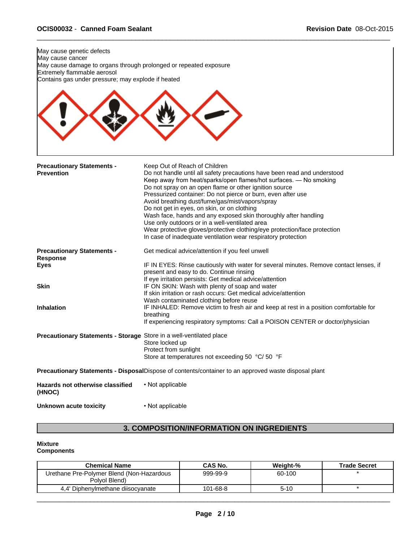

# **3. COMPOSITION/INFORMATION ON INGREDIENTS**

# **Mixture**

# **Components**

| <b>Chemical Name</b>                                       | CAS No.  | Weight-% | <b>Trade Secret</b> |
|------------------------------------------------------------|----------|----------|---------------------|
| Urethane Pre-Polymer Blend (Non-Hazardous<br>Polvol Blend) | 999-99-9 | 60-100   |                     |
| 4,4' Diphenylmethane diisocyanate                          | 101-68-8 | $5-10$   |                     |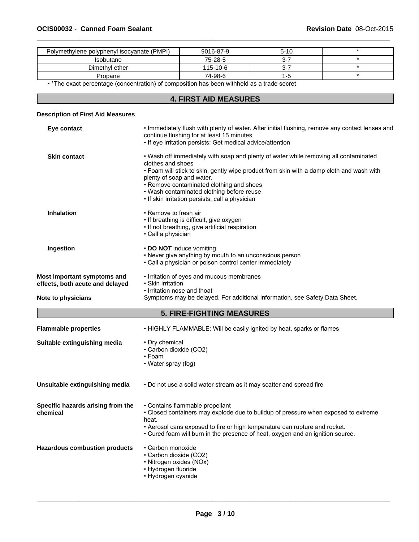| Polymethylene polyphenyl isocyanate (PMPI) | 9016-87-9 | $5 - 10$ |  |
|--------------------------------------------|-----------|----------|--|
| Isobutane                                  | 75-28-5   | ⌒<br>-ა  |  |
| Dimethyl ether                             | 115-10-6  | -ت       |  |
| Propane                                    | 74-98-6   |          |  |

• \*The exact percentage (concentration) of composition has been withheld as a trade secret

# **4. FIRST AID MEASURES**

# **Description of First Aid Measures**

| Eye contact                                                    | . Immediately flush with plenty of water. After initial flushing, remove any contact lenses and<br>continue flushing for at least 15 minutes<br>• If eye irritation persists: Get medical advice/attention                                                                                                                                                                     |
|----------------------------------------------------------------|--------------------------------------------------------------------------------------------------------------------------------------------------------------------------------------------------------------------------------------------------------------------------------------------------------------------------------------------------------------------------------|
| <b>Skin contact</b>                                            | . Wash off immediately with soap and plenty of water while removing all contaminated<br>clothes and shoes<br>• Foam will stick to skin, gently wipe product from skin with a damp cloth and wash with<br>plenty of soap and water.<br>• Remove contaminated clothing and shoes<br>• Wash contaminated clothing before reuse<br>• If skin irritation persists, call a physician |
| <b>Inhalation</b>                                              | • Remove to fresh air<br>• If breathing is difficult, give oxygen<br>• If not breathing, give artificial respiration<br>• Call a physician                                                                                                                                                                                                                                     |
| Ingestion                                                      | • DO NOT induce vomiting<br>• Never give anything by mouth to an unconscious person<br>· Call a physician or poison control center immediately                                                                                                                                                                                                                                 |
| Most important symptoms and<br>effects, both acute and delayed | • Irritation of eyes and mucous membranes<br>• Skin irritation<br>• Irritation nose and thoat                                                                                                                                                                                                                                                                                  |
|                                                                |                                                                                                                                                                                                                                                                                                                                                                                |
|                                                                | Symptoms may be delayed. For additional information, see Safety Data Sheet.                                                                                                                                                                                                                                                                                                    |
| <b>Note to physicians</b>                                      | <b>5. FIRE-FIGHTING MEASURES</b>                                                                                                                                                                                                                                                                                                                                               |
| <b>Flammable properties</b>                                    | • HIGHLY FLAMMABLE: Will be easily ignited by heat, sparks or flames                                                                                                                                                                                                                                                                                                           |
| Suitable extinguishing media                                   | • Dry chemical<br>• Carbon dioxide (CO2)<br>$\cdot$ Foam<br>• Water spray (fog)                                                                                                                                                                                                                                                                                                |
| Unsuitable extinguishing media                                 | . Do not use a solid water stream as it may scatter and spread fire                                                                                                                                                                                                                                                                                                            |
| Specific hazards arising from the<br>chemical                  | • Contains flammable propellant<br>• Closed containers may explode due to buildup of pressure when exposed to extreme<br>heat.<br>• Aerosol cans exposed to fire or high temperature can rupture and rocket.<br>• Cured foam will burn in the presence of heat, oxygen and an ignition source.                                                                                 |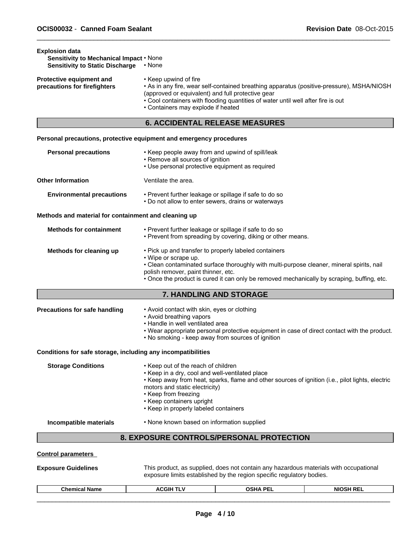| <b>Explosion data</b><br>Sensitivity to Mechanical Impact . None<br><b>Sensitivity to Static Discharge</b> | • None                                                                                                                                                                                                                                                                                                                     |
|------------------------------------------------------------------------------------------------------------|----------------------------------------------------------------------------------------------------------------------------------------------------------------------------------------------------------------------------------------------------------------------------------------------------------------------------|
| Protective equipment and<br>precautions for firefighters                                                   | • Keep upwind of fire<br>• As in any fire, wear self-contained breathing apparatus (positive-pressure), MSHA/NIOSH<br>(approved or equivalent) and full protective gear<br>• Cool containers with flooding quantities of water until well after fire is out<br>• Containers may explode if heated                          |
|                                                                                                            | <b>6. ACCIDENTAL RELEASE MEASURES</b>                                                                                                                                                                                                                                                                                      |
|                                                                                                            | Personal precautions, protective equipment and emergency procedures                                                                                                                                                                                                                                                        |
| <b>Personal precautions</b>                                                                                | • Keep people away from and upwind of spill/leak<br>• Remove all sources of ignition<br>• Use personal protective equipment as required                                                                                                                                                                                    |
| <b>Other Information</b>                                                                                   | Ventilate the area.                                                                                                                                                                                                                                                                                                        |
| <b>Environmental precautions</b>                                                                           | • Prevent further leakage or spillage if safe to do so<br>• Do not allow to enter sewers, drains or waterways                                                                                                                                                                                                              |
| Methods and material for containment and cleaning up                                                       |                                                                                                                                                                                                                                                                                                                            |
| <b>Methods for containment</b>                                                                             | • Prevent further leakage or spillage if safe to do so<br>• Prevent from spreading by covering, diking or other means.                                                                                                                                                                                                     |
| Methods for cleaning up                                                                                    | • Pick up and transfer to properly labeled containers<br>• Wipe or scrape up.<br>• Clean contaminated surface thoroughly with multi-purpose cleaner, mineral spirits, nail<br>polish remover, paint thinner, etc.<br>. Once the product is cured it can only be removed mechanically by scraping, buffing, etc.            |
|                                                                                                            | 7. HANDLING AND STORAGE                                                                                                                                                                                                                                                                                                    |
| <b>Precautions for safe handling</b>                                                                       | • Avoid contact with skin, eyes or clothing<br>• Avoid breathing vapors<br>• Handle in well ventilated area<br>. Wear appropriate personal protective equipment in case of direct contact with the product.<br>. No smoking - keep away from sources of ignition                                                           |
| Conditions for safe storage, including any incompatibilities                                               |                                                                                                                                                                                                                                                                                                                            |
| <b>Storage Conditions</b>                                                                                  | • Keep out of the reach of children<br>• Keep in a dry, cool and well-ventilated place<br>• Keep away from heat, sparks, flame and other sources of ignition (i.e., pilot lights, electric<br>motors and static electricity)<br>• Keep from freezing<br>• Keep containers upright<br>• Keep in properly labeled containers |
| Incompatible materials                                                                                     | • None known based on information supplied                                                                                                                                                                                                                                                                                 |
|                                                                                                            | 8. EXPOSURE CONTROLS/PERSONAL PROTECTION                                                                                                                                                                                                                                                                                   |
| <b>Control parameters</b>                                                                                  |                                                                                                                                                                                                                                                                                                                            |
| <b>Exposure Guidelines</b>                                                                                 | This product, as supplied, does not contain any hazardous materials with occupational<br>exposure limits established by the region specific regulatory bodies.                                                                                                                                                             |

| <b>Chemical Name</b> | $\sim$ $\sim$ $\sim$<br>:GIH<br>$\sim$ | <b>OSHA PF</b> | <b>NIOSH REI</b><br>nc |  |
|----------------------|----------------------------------------|----------------|------------------------|--|
|                      |                                        |                |                        |  |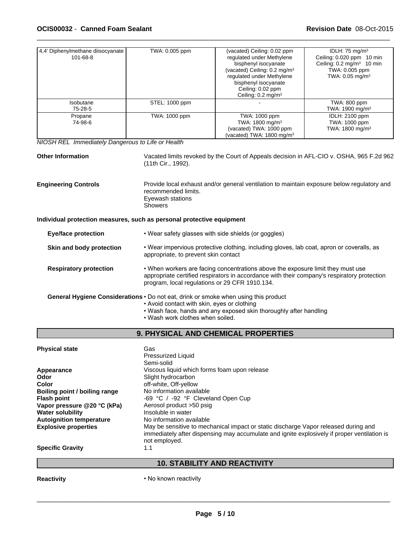| 4,4' Diphenylmethane diisocyanate<br>101-68-8                                       | TWA: 0.005 ppm                                                                                                          | (vacated) Ceiling: 0.02 ppm<br>regulated under Methylene<br>bisphenyl isocyanate<br>(vacated) Ceiling: 0.2 mg/m <sup>3</sup><br>regulated under Methylene<br>bisphenyl isocyanate<br>Ceiling: 0.02 ppm<br>Ceiling: 0.2 mg/m <sup>3</sup> | IDLH: 75 mg/m <sup>3</sup><br>Ceiling: 0.020 ppm 10 min<br>Ceiling: 0.2 mg/m <sup>3</sup> 10 min<br>TWA: 0.005 ppm<br>TWA: 0.05 mg/m <sup>3</sup> |  |  |
|-------------------------------------------------------------------------------------|-------------------------------------------------------------------------------------------------------------------------|------------------------------------------------------------------------------------------------------------------------------------------------------------------------------------------------------------------------------------------|---------------------------------------------------------------------------------------------------------------------------------------------------|--|--|
| Isobutane<br>75-28-5                                                                | STEL: 1000 ppm                                                                                                          |                                                                                                                                                                                                                                          | TWA: 800 ppm<br>TWA: 1900 mg/m <sup>3</sup>                                                                                                       |  |  |
| Propane<br>74-98-6                                                                  | TWA: 1000 ppm                                                                                                           | TWA: 1000 ppm<br>TWA: 1800 mg/m <sup>3</sup><br>(vacated) TWA: 1000 ppm<br>(vacated) TWA: 1800 mg/m <sup>3</sup>                                                                                                                         | IDLH: 2100 ppm<br>TWA: 1000 ppm<br>TWA: 1800 mg/m <sup>3</sup>                                                                                    |  |  |
| NIOSH REL Immediately Dangerous to Life or Health                                   |                                                                                                                         |                                                                                                                                                                                                                                          |                                                                                                                                                   |  |  |
| <b>Other Information</b>                                                            | (11th Cir., 1992).                                                                                                      | Vacated limits revoked by the Court of Appeals decision in AFL-CIO v. OSHA, 965 F.2d 962                                                                                                                                                 |                                                                                                                                                   |  |  |
| <b>Engineering Controls</b>                                                         | recommended limits.<br>Eyewash stations<br><b>Showers</b>                                                               | Provide local exhaust and/or general ventilation to maintain exposure below regulatory and                                                                                                                                               |                                                                                                                                                   |  |  |
| Individual protection measures, such as personal protective equipment               |                                                                                                                         |                                                                                                                                                                                                                                          |                                                                                                                                                   |  |  |
| <b>Eye/face protection</b>                                                          |                                                                                                                         | • Wear safety glasses with side shields (or goggles)                                                                                                                                                                                     |                                                                                                                                                   |  |  |
| Skin and body protection                                                            |                                                                                                                         | • Wear impervious protective clothing, including gloves, lab coat, apron or coveralls, as<br>appropriate, to prevent skin contact                                                                                                        |                                                                                                                                                   |  |  |
| <b>Respiratory protection</b>                                                       | program, local regulations or 29 CFR 1910.134.                                                                          | . When workers are facing concentrations above the exposure limit they must use<br>appropriate certified respirators in accordance with their company's respiratory protection                                                           |                                                                                                                                                   |  |  |
| General Hygiene Considerations · Do not eat, drink or smoke when using this product | • Avoid contact with skin, eyes or clothing<br>. Wash work clothes when soiled.                                         | . Wash face, hands and any exposed skin thoroughly after handling                                                                                                                                                                        |                                                                                                                                                   |  |  |
|                                                                                     |                                                                                                                         | 9. PHYSICAL AND CHEMICAL PROPERTIES                                                                                                                                                                                                      |                                                                                                                                                   |  |  |
| <b>Physical state</b>                                                               | Gas<br><b>Pressurized Liquid</b><br>Semi-solid                                                                          |                                                                                                                                                                                                                                          |                                                                                                                                                   |  |  |
| Appearance<br>Odor<br>Color<br>Boiling point / boiling range                        | Viscous liquid which forms foam upon release<br>Slight hydrocarbon<br>off-white, Off-yellow<br>No information available |                                                                                                                                                                                                                                          |                                                                                                                                                   |  |  |
| <b>Flash point</b><br>Vapor pressure @20 °C (kPa)<br><b>Water solubility</b>        | -69 °C / -92 °F Cleveland Open Cup<br>Aerosol product >50 psig<br>Insoluble in water                                    |                                                                                                                                                                                                                                          |                                                                                                                                                   |  |  |
| <b>Autoignition temperature</b><br><b>Explosive properties</b>                      | No information available                                                                                                | May be sensitive to mechanical impact or static discharge Vapor released during and                                                                                                                                                      |                                                                                                                                                   |  |  |

**Specific Gravity** 

# **10. STABILITY AND REACTIVITY**

 $\overline{\phantom{a}}$  ,  $\overline{\phantom{a}}$  ,  $\overline{\phantom{a}}$  ,  $\overline{\phantom{a}}$  ,  $\overline{\phantom{a}}$  ,  $\overline{\phantom{a}}$  ,  $\overline{\phantom{a}}$  ,  $\overline{\phantom{a}}$  ,  $\overline{\phantom{a}}$  ,  $\overline{\phantom{a}}$  ,  $\overline{\phantom{a}}$  ,  $\overline{\phantom{a}}$  ,  $\overline{\phantom{a}}$  ,  $\overline{\phantom{a}}$  ,  $\overline{\phantom{a}}$  ,  $\overline{\phantom{a}}$ 

immediately after dispensing may accumulate and ignite explosively if proper ventilation is

**Reactivity**

• No known reactivity

not employed.<br>1.1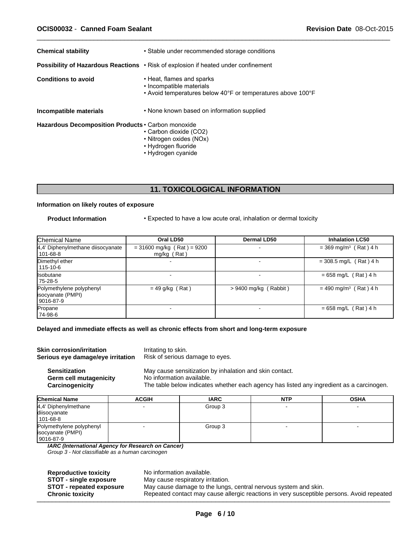| <b>Chemical stability</b>                            | • Stable under recommended storage conditions                                                                                                                      |
|------------------------------------------------------|--------------------------------------------------------------------------------------------------------------------------------------------------------------------|
|                                                      | <b>Possibility of Hazardous Reactions</b> • Risk of explosion if heated under confinement                                                                          |
| <b>Conditions to avoid</b><br>Incompatible materials | • Heat, flames and sparks<br>• Incompatible materials<br>• Avoid temperatures below 40°F or temperatures above 100°F<br>• None known based on information supplied |
| Hazardous Decomposition Products . Carbon monoxide   | • Carbon dioxide (CO2)<br>• Nitrogen oxides (NOx)<br>• Hydrogen fluoride<br>• Hydrogen cyanide                                                                     |

# **11. TOXICOLOGICAL INFORMATION**

# **Information on likely routes of exposure**

**Product Information** • Expected to have a low acute oral, inhalation or dermal toxicity

 $\overline{\phantom{a}}$  ,  $\overline{\phantom{a}}$  ,  $\overline{\phantom{a}}$  ,  $\overline{\phantom{a}}$  ,  $\overline{\phantom{a}}$  ,  $\overline{\phantom{a}}$  ,  $\overline{\phantom{a}}$  ,  $\overline{\phantom{a}}$  ,  $\overline{\phantom{a}}$  ,  $\overline{\phantom{a}}$  ,  $\overline{\phantom{a}}$  ,  $\overline{\phantom{a}}$  ,  $\overline{\phantom{a}}$  ,  $\overline{\phantom{a}}$  ,  $\overline{\phantom{a}}$  ,  $\overline{\phantom{a}}$ 

| Chemical Name                                              | Oral LD50                                     | Dermal LD50             | <b>Inhalation LC50</b>              |
|------------------------------------------------------------|-----------------------------------------------|-------------------------|-------------------------------------|
| 4,4' Diphenylmethane diisocyanate<br>101-68-8              | $= 31600$ mg/kg (Rat) = 9200<br>$mg/kg$ (Rat) |                         | $= 369$ mg/m <sup>3</sup> (Rat) 4 h |
| Dimethyl ether<br>115-10-6                                 |                                               |                         | $= 308.5$ mg/L (Rat) 4 h            |
| <b>Isobutane</b><br>75-28-5                                |                                               |                         | $= 658$ mg/L (Rat) 4 h              |
| Polymethylene polyphenyl<br>isocyanate (PMPI)<br>9016-87-9 | $= 49$ g/kg (Rat)                             | $> 9400$ mg/kg (Rabbit) | $= 490$ mg/m <sup>3</sup> (Rat) 4 h |
| Propane<br>74-98-6                                         |                                               |                         | $= 658$ mg/L (Rat) 4 h              |

# **Delayed and immediate effects as well as chronic effects from short and long-term exposure**

| <b>Skin corrosion/irritation</b><br>Serious eye damage/eye irritation |              | Irritating to skin.<br>Risk of serious damage to eyes.                                                                                                                           |            |             |  |  |
|-----------------------------------------------------------------------|--------------|----------------------------------------------------------------------------------------------------------------------------------------------------------------------------------|------------|-------------|--|--|
| <b>Sensitization</b><br>Germ cell mutagenicity<br>Carcinogenicity     |              | May cause sensitization by inhalation and skin contact.<br>No information available.<br>The table below indicates whether each agency has listed any ingredient as a carcinogen. |            |             |  |  |
|                                                                       |              |                                                                                                                                                                                  |            |             |  |  |
| <b>Chemical Name</b>                                                  | <b>ACGIH</b> | <b>IARC</b>                                                                                                                                                                      | <b>NTP</b> | <b>OSHA</b> |  |  |
| 4,4' Diphenylmethane                                                  |              | Group 3                                                                                                                                                                          |            |             |  |  |
| diisocyanate                                                          |              |                                                                                                                                                                                  |            |             |  |  |
| l 101-68-8                                                            |              |                                                                                                                                                                                  |            |             |  |  |

9016-87-9

*IARC (International Agency for Research on Cancer)*

*Group 3 - Not classifiable as a human carcinogen*

**Reproductive toxicity** No information available.

**STOT - single exposure** May cause respiratory irritation.<br>**STOT - repeated exposure** May cause damage to the lungs

**STOT - repeated exposure** May cause damage to the lungs, central nervous system and skin.<br> **Chronic toxicity** Repeated contact may cause allergic reactions in very susceptible Repeated contact may cause allergic reactions in very susceptible persons. Avoid repeated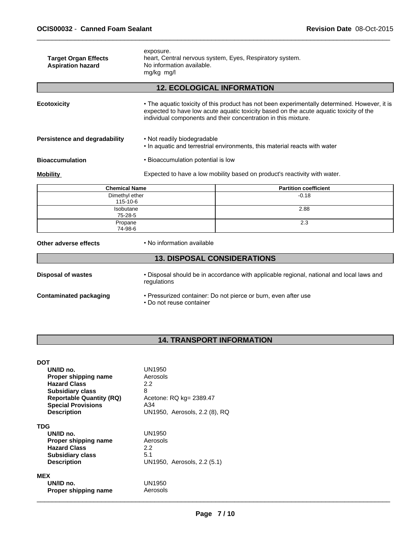|                                                         | mg/kg mg/l<br><b>12. ECOLOGICAL INFORMATION</b>                                                    |  |
|---------------------------------------------------------|----------------------------------------------------------------------------------------------------|--|
| <b>Target Organ Effects</b><br><b>Aspiration hazard</b> | exposure.<br>heart, Central nervous system, Eyes, Respiratory system.<br>No information available. |  |

| <b>Ecotoxicity</b>            | • The aquatic toxicity of this product has not been experimentally determined. However, it is<br>expected to have low acute aquatic toxicity based on the acute aquatic toxicity of the<br>individual components and their concentration in this mixture. |  |
|-------------------------------|-----------------------------------------------------------------------------------------------------------------------------------------------------------------------------------------------------------------------------------------------------------|--|
| Persistence and degradability | • Not readily biodegradable<br>• In aquatic and terrestrial environments, this material reacts with water                                                                                                                                                 |  |
| <b>Bioaccumulation</b>        | • Bioaccumulation potential is low                                                                                                                                                                                                                        |  |
| <b>Mobility</b>               | Expected to have a low mobility based on product's reactivity with water.                                                                                                                                                                                 |  |

| <b>Chemical Name</b>       | <b>Partition coefficient</b> |
|----------------------------|------------------------------|
| Dimethyl ether<br>115-10-6 | $-0.18$                      |
| Isobutane<br>75-28-5       | 2.88                         |
| Propane<br>74-98-6         | 2.3                          |

**Other adverse effects** • No information available

Г

# **13. DISPOSAL CONSIDERATIONS**

| <b>Disposal of wastes</b> | Disposal should be in accordance with applicable regional, national and local laws and |
|---------------------------|----------------------------------------------------------------------------------------|
|                           | regulations                                                                            |
|                           |                                                                                        |

- **Contaminated packaging Pressurized container: Do not pierce or burn, even after use** 
	- Do not reuse container

# **14. TRANSPORT INFORMATION**

| <b>DOT</b>                      |                               |
|---------------------------------|-------------------------------|
| UN/ID no.                       | UN1950                        |
| Proper shipping name            | Aerosols                      |
| <b>Hazard Class</b>             | 2.2                           |
| <b>Subsidiary class</b>         | 8                             |
| <b>Reportable Quantity (RQ)</b> | Acetone: RQ kg= 2389.47       |
| <b>Special Provisions</b>       | A34                           |
| <b>Description</b>              | UN1950, Aerosols, 2.2 (8), RQ |
| <b>TDG</b>                      |                               |
| UN/ID no.                       | UN1950                        |
| Proper shipping name            | Aerosols                      |
| <b>Hazard Class</b>             | 2.2                           |
| <b>Subsidiary class</b>         | 5.1                           |
| <b>Description</b>              | UN1950, Aerosols, 2.2 (5.1)   |
| <b>MEX</b>                      |                               |
| UN/ID no.                       | UN1950                        |
| Proper shipping name            | Aerosols                      |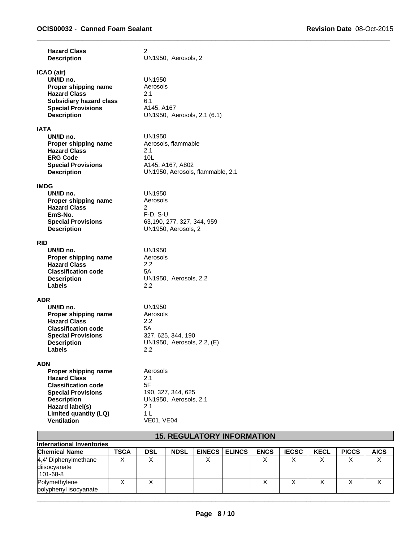| <b>Hazard Class</b><br><b>Description</b>                                                                                                                                                                    | $\overline{2}$<br>UN1950, Aerosols, 2                                                                              |
|--------------------------------------------------------------------------------------------------------------------------------------------------------------------------------------------------------------|--------------------------------------------------------------------------------------------------------------------|
| ICAO (air)<br>UN/ID no.<br>Proper shipping name<br><b>Hazard Class</b><br><b>Subsidiary hazard class</b><br><b>Special Provisions</b><br><b>Description</b>                                                  | <b>UN1950</b><br>Aerosols<br>2.1<br>6.1<br>A145, A167<br>UN1950, Aerosols, 2.1 (6.1)                               |
| <b>IATA</b><br>UN/ID no.<br>Proper shipping name<br><b>Hazard Class</b><br><b>ERG Code</b><br><b>Special Provisions</b><br><b>Description</b>                                                                | UN1950<br>Aerosols, flammable<br>2.1<br>10 <sub>L</sub><br>A145, A167, A802<br>UN1950, Aerosols, flammable, 2.1    |
| <b>IMDG</b><br>UN/ID no.<br>Proper shipping name<br><b>Hazard Class</b><br>EmS-No.<br><b>Special Provisions</b><br><b>Description</b>                                                                        | <b>UN1950</b><br>Aerosols<br>2<br>$F-D$ , S-U<br>63,190, 277, 327, 344, 959<br>UN1950, Aerosols, 2                 |
| <b>RID</b><br>UN/ID no.<br>Proper shipping name<br><b>Hazard Class</b><br><b>Classification code</b><br><b>Description</b><br>Labels                                                                         | UN1950<br>Aerosols<br>2.2<br>5А<br>UN1950, Aerosols, 2.2<br>2.2                                                    |
| <b>ADR</b><br>UN/ID no.<br>Proper shipping name<br><b>Hazard Class</b><br><b>Classification code</b><br><b>Special Provisions</b><br><b>Description</b><br>Labels                                            | UN1950<br>Aerosols<br>2.2<br>5А<br>327, 625, 344, 190<br>UN1950, Aerosols, 2.2, (E)<br>2.2                         |
| <b>ADN</b><br>Proper shipping name<br><b>Hazard Class</b><br><b>Classification code</b><br><b>Special Provisions</b><br><b>Description</b><br>Hazard label(s)<br>Limited quantity (LQ)<br><b>Ventilation</b> | Aerosols<br>2.1<br>5F<br>190, 327, 344, 625<br>UN1950. Aerosols, 2.1<br>2.1<br>1 <sub>L</sub><br><b>VE01, VE04</b> |

| <b>15. REGULATORY INFORMATION</b>                  |      |            |             |               |               |             |              |             |              |             |
|----------------------------------------------------|------|------------|-------------|---------------|---------------|-------------|--------------|-------------|--------------|-------------|
| International Inventories                          |      |            |             |               |               |             |              |             |              |             |
| <b>Chemical Name</b>                               | TSCA | <b>DSL</b> | <b>NDSL</b> | <b>EINECS</b> | <b>ELINCS</b> | <b>ENCS</b> | <b>IECSC</b> | <b>KECL</b> | <b>PICCS</b> | <b>AICS</b> |
| 4,4' Diphenylmethane<br>diisocyanate<br>l 101-68-8 |      |            |             | $\checkmark$  |               |             |              |             |              | v           |
| Polymethylene<br>polyphenyl isocyanate             |      |            |             |               |               |             |              |             |              |             |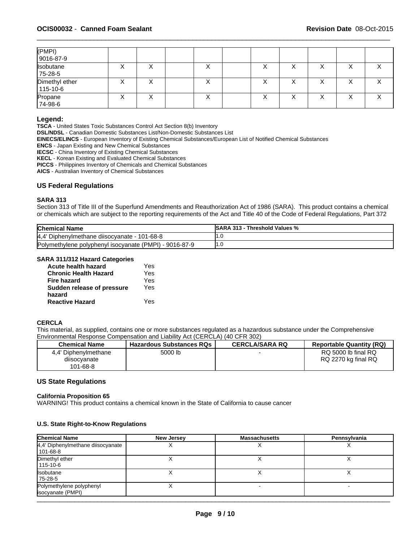| (PMPI)<br>$9016-87-9$      |   |        |   |   |   |   |   |   |
|----------------------------|---|--------|---|---|---|---|---|---|
| Isobutane<br>75-28-5       | ↗ | v<br>⋏ | ⋏ | ⌒ | ↗ | ⌒ | ⌒ | ∧ |
| Dimethyl ether<br>115-10-6 | ⌒ | ⌒      | ⌒ | ⌒ | ⌒ | ⌒ | ∧ | ⌒ |
| Propane<br>74-98-6         | ↗ | ∧      | ∧ | ⌒ | ∧ | ⌒ | ⌒ | ⌒ |

#### **Legend:**

**TSCA** - United States Toxic Substances Control Act Section 8(b) Inventory

**DSL/NDSL** - Canadian Domestic Substances List/Non-Domestic Substances List

**EINECS/ELINCS** - European Inventory of Existing Chemical Substances/European List of Notified Chemical Substances

**ENCS** - Japan Existing and New Chemical Substances

**IECSC** - China Inventory of Existing Chemical Substances

**KECL** - Korean Existing and Evaluated Chemical Substances

**PICCS** - Philippines Inventory of Chemicals and Chemical Substances

**AICS** - Australian Inventory of Chemical Substances

#### **US Federal Regulations**

#### **SARA 313**

Section 313 of Title III of the Superfund Amendments and Reauthorization Act of 1986 (SARA). This product contains a chemical or chemicals which are subject to the reporting requirements of the Act and Title 40 of the Code of Federal Regulations, Part 372

| <b>Chemical Name</b>                                   | <b>ISARA 313 - Threshold Values %</b> |
|--------------------------------------------------------|---------------------------------------|
| 4,4' Diphenylmethane diisocyanate - 101-68-8           |                                       |
| Polymethylene polyphenyl isocyanate (PMPI) - 9016-87-9 |                                       |

#### **SARA 311/312 Hazard Categories**

| Acute health hazard          | Yes |  |
|------------------------------|-----|--|
| <b>Chronic Health Hazard</b> | Yes |  |
| Fire hazard                  | Yes |  |
| Sudden release of pressure   | Yes |  |
| hazard                       |     |  |
| <b>Reactive Hazard</b>       | Yes |  |

# **CERCLA**

This material, as supplied, contains one or more substances regulated as a hazardous substance under the Comprehensive Environmental Response Compensation and Liability Act (CERCLA) (40 CFR 302)

| <b>Chemical Name</b>                             | <b>Hazardous Substances RQs</b> | <b>CERCLA/SARA RQ</b> | <b>Reportable Quantity (RQ)</b>            |
|--------------------------------------------------|---------------------------------|-----------------------|--------------------------------------------|
| 4.4' Diphenylmethane<br>diisocyanate<br>101-68-8 | 5000 lb                         |                       | RQ 5000 lb final RQ<br>RQ 2270 kg final RQ |

# **US State Regulations**

#### **California Proposition 65**

WARNING! This product contains a chemical known in the State of California to cause cancer

#### **U.S. State Right-to-Know Regulations**

| <b>Chemical Name</b>                            | <b>New Jersey</b> | <b>Massachusetts</b> | Pennsylvania |
|-------------------------------------------------|-------------------|----------------------|--------------|
| 4,4' Diphenylmethane diisocyanate<br>  101-68-8 |                   |                      |              |
| Dimethyl ether<br>115-10-6                      |                   |                      |              |
| <b>Isobutane</b><br>75-28-5                     |                   |                      |              |
| Polymethylene polyphenyl<br>isocyanate (PMPI)   |                   |                      |              |